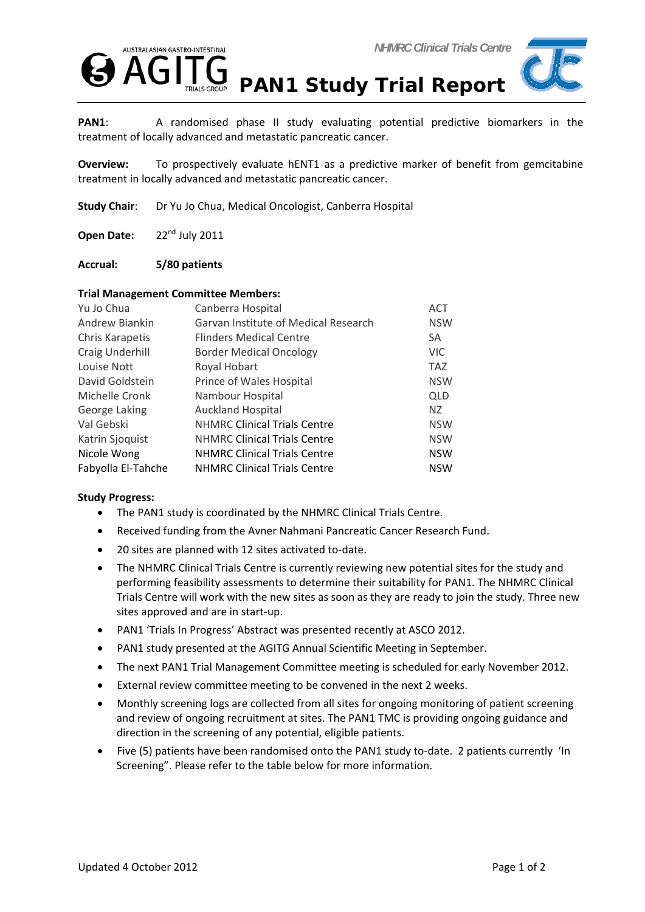





**PAN1**: A randomised phase II study evaluating potential predictive biomarkers in the treatment of locally advanced and metastatic pancreatic cancer.

**Overview:** To prospectively evaluate hENT1 as a predictive marker of benefit from gemcitabine treatment in locally advanced and metastatic pancreatic cancer.

**Study Chair**: Dr Yu Jo Chua, Medical Oncologist, Canberra Hospital

**Open Date:** 22nd July 2011

## **Accrual: 5/80 patients**

## **Trial Management Committee Members:**

| Yu Jo Chua         | Canberra Hospital                    | <b>ACT</b> |
|--------------------|--------------------------------------|------------|
| Andrew Biankin     | Garvan Institute of Medical Research | <b>NSW</b> |
| Chris Karapetis    | <b>Flinders Medical Centre</b>       | <b>SA</b>  |
| Craig Underhill    | <b>Border Medical Oncology</b>       | VIC.       |
| Louise Nott        | Royal Hobart                         | <b>TAZ</b> |
| David Goldstein    | Prince of Wales Hospital             | <b>NSW</b> |
| Michelle Cronk     | Nambour Hospital                     | <b>QLD</b> |
| George Laking      | <b>Auckland Hospital</b>             | NZ.        |
| Val Gebski         | <b>NHMRC Clinical Trials Centre</b>  | <b>NSW</b> |
| Katrin Sjoquist    | <b>NHMRC Clinical Trials Centre</b>  | <b>NSW</b> |
| Nicole Wong        | <b>NHMRC Clinical Trials Centre</b>  | <b>NSW</b> |
| Fabyolla El-Tahche | <b>NHMRC Clinical Trials Centre</b>  | <b>NSW</b> |

## **Study Progress:**

- The PAN1 study is coordinated by the NHMRC Clinical Trials Centre.
- Received funding from the Avner Nahmani Pancreatic Cancer Research Fund.
- 20 sites are planned with 12 sites activated to-date.
- The NHMRC Clinical Trials Centre is currently reviewing new potential sites for the study and performing feasibility assessments to determine their suitability for PAN1. The NHMRC Clinical Trials Centre will work with the new sites as soon as they are ready to join the study. Three new sites approved and are in start‐up.
- PAN1 'Trials In Progress' Abstract was presented recently at ASCO 2012.
- PAN1 study presented at the AGITG Annual Scientific Meeting in September.
- The next PAN1 Trial Management Committee meeting is scheduled for early November 2012.
- External review committee meeting to be convened in the next 2 weeks.
- Monthly screening logs are collected from all sites for ongoing monitoring of patient screening and review of ongoing recruitment at sites. The PAN1 TMC is providing ongoing guidance and direction in the screening of any potential, eligible patients.
- Five (5) patients have been randomised onto the PAN1 study to‐date. 2 patients currently 'In Screening". Please refer to the table below for more information.